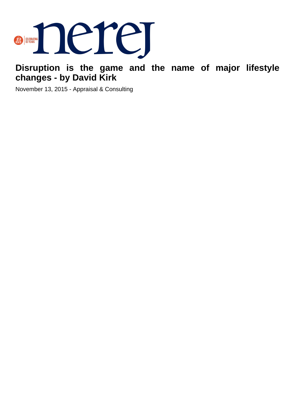

**Disruption is the game and the name of major lifestyle changes - by David Kirk**

November 13, 2015 - Appraisal & Consulting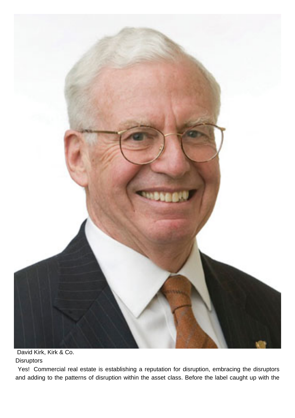

 David Kirk, Kirk & Co. **Disruptors** 

 Yes! Commercial real estate is establishing a reputation for disruption, embracing the disruptors and adding to the patterns of disruption within the asset class. Before the label caught up with the